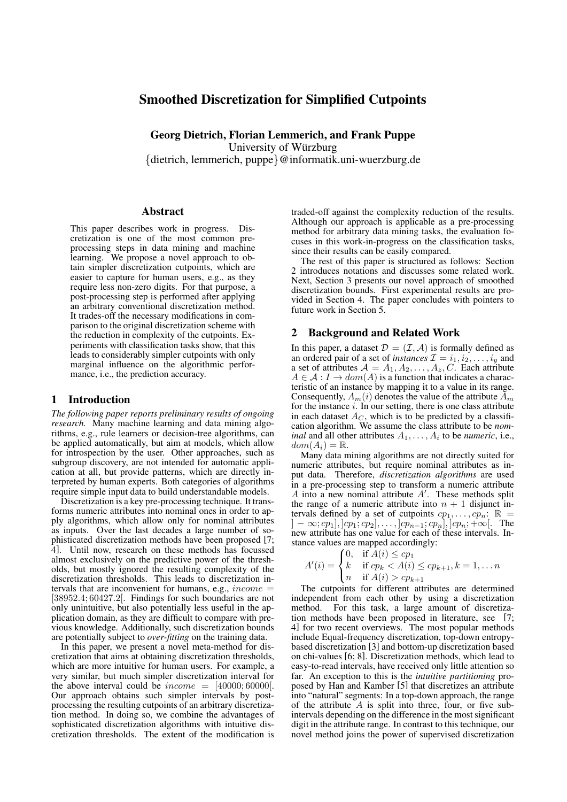# Smoothed Discretization for Simplified Cutpoints

Georg Dietrich, Florian Lemmerich, and Frank Puppe University of Würzburg

{dietrich, lemmerich, puppe}@informatik.uni-wuerzburg.de

### Abstract

This paper describes work in progress. Discretization is one of the most common preprocessing steps in data mining and machine learning. We propose a novel approach to obtain simpler discretization cutpoints, which are easier to capture for human users, e.g., as they require less non-zero digits. For that purpose, a post-processing step is performed after applying an arbitrary conventional discretization method. It trades-off the necessary modifications in comparison to the original discretization scheme with the reduction in complexity of the cutpoints. Experiments with classification tasks show, that this leads to considerably simpler cutpoints with only marginal influence on the algorithmic performance, i.e., the prediction accuracy.

### 1 Introduction

*The following paper reports preliminary results of ongoing research.* Many machine learning and data mining algorithms, e.g., rule learners or decision-tree algorithms, can be applied automatically, but aim at models, which allow for introspection by the user. Other approaches, such as subgroup discovery, are not intended for automatic application at all, but provide patterns, which are directly interpreted by human experts. Both categories of algorithms require simple input data to build understandable models.

Discretization is a key pre-processing technique. It transforms numeric attributes into nominal ones in order to apply algorithms, which allow only for nominal attributes as inputs. Over the last decades a large number of sophisticated discretization methods have been proposed [7; 4]. Until now, research on these methods has focussed almost exclusively on the predictive power of the thresholds, but mostly ignored the resulting complexity of the discretization thresholds. This leads to discretization intervals that are inconvenient for humans, e.g.,  $income =$ [38952.4; 60427.2]. Findings for such boundaries are not only unintuitive, but also potentially less useful in the application domain, as they are difficult to compare with previous knowledge. Additionally, such discretization bounds are potentially subject to *over-fitting* on the training data.

In this paper, we present a novel meta-method for discretization that aims at obtaining discretization thresholds, which are more intuitive for human users. For example, a very similar, but much simpler discretization interval for the above interval could be  $income = [40000; 60000]$ . Our approach obtains such simpler intervals by postprocessing the resulting cutpoints of an arbitrary discretization method. In doing so, we combine the advantages of sophisticated discretization algorithms with intuitive discretization thresholds. The extent of the modification is traded-off against the complexity reduction of the results. Although our approach is applicable as a pre-processing method for arbitrary data mining tasks, the evaluation focuses in this work-in-progress on the classification tasks, since their results can be easily compared.

The rest of this paper is structured as follows: Section 2 introduces notations and discusses some related work. Next, Section 3 presents our novel approach of smoothed discretization bounds. First experimental results are provided in Section 4. The paper concludes with pointers to future work in Section 5.

### 2 Background and Related Work

In this paper, a dataset  $\mathcal{D} = (\mathcal{I}, \mathcal{A})$  is formally defined as an ordered pair of a set of *instances*  $\mathcal{I} = i_1, i_2, \dots, i_y$  and a set of attributes  $A = A_1, A_2, \ldots, A_z, C$ . Each attribute  $A \in \mathcal{A}: I \to dom(A)$  is a function that indicates a characteristic of an instance by mapping it to a value in its range. Consequently,  $A_m(i)$  denotes the value of the attribute  $\tilde{A}_m$ for the instance  $i$ . In our setting, there is one class attribute in each dataset  $A_C$ , which is to be predicted by a classification algorithm. We assume the class attribute to be *nominal* and all other attributes  $A_1, \ldots, A_i$  to be *numeric*, i.e.,  $dom(A_i) = \mathbb{R}.$ 

Many data mining algorithms are not directly suited for numeric attributes, but require nominal attributes as input data. Therefore, *discretization algorithms* are used in a pre-processing step to transform a numeric attribute  $A$  into a new nominal attribute  $A'$ . These methods split the range of a numeric attribute into  $n + 1$  disjunct intervals defined by a set of cutpoints  $cp_1, \ldots, cp_n$ :  $\mathbb{R}$  =  $[-\infty; cp_1], [cp_1; cp_2], \ldots, [cp_{n-1}; cp_n], [cp_n; +\infty[$ . The new attribute has one value for each of these intervals. Instance values are mapped accordingly:

$$
A'(i) = \begin{cases} 0, & \text{if } A(i) \le cp_1 \\ k & \text{if } cp_k < A(i) \le cp_{k+1}, k = 1, \dots n \\ n & \text{if } A(i) > cp_{k+1} \end{cases}
$$

The cutpoints for different attributes are determined independent from each other by using a discretization method. For this task, a large amount of discretization methods have been proposed in literature, see [7; 4] for two recent overviews. The most popular methods include Equal-frequency discretization, top-down entropybased discretization [3] and bottom-up discretization based on chi-values [6; 8]. Discretization methods, which lead to easy-to-read intervals, have received only little attention so far. An exception to this is the *intuitive partitioning* proposed by Han and Kamber [5] that discretizes an attribute into "natural" segments: In a top-down approach, the range of the attribute  $\overline{A}$  is split into three, four, or five subintervals depending on the difference in the most significant digit in the attribute range. In contrast to this technique, our novel method joins the power of supervised discretization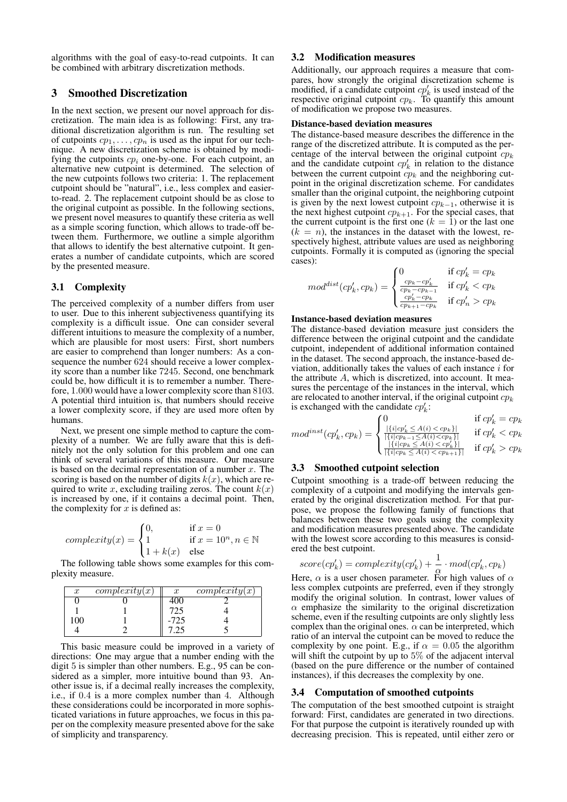algorithms with the goal of easy-to-read cutpoints. It can be combined with arbitrary discretization methods.

## 3 Smoothed Discretization

In the next section, we present our novel approach for discretization. The main idea is as following: First, any traditional discretization algorithm is run. The resulting set of cutpoints  $cp_1, \ldots, cp_n$  is used as the input for our technique. A new discretization scheme is obtained by modifying the cutpoints  $cp<sub>i</sub>$  one-by-one. For each cutpoint, an alternative new cutpoint is determined. The selection of the new cutpoints follows two criteria: 1. The replacement cutpoint should be "natural", i.e., less complex and easierto-read. 2. The replacement cutpoint should be as close to the original cutpoint as possible. In the following sections, we present novel measures to quantify these criteria as well as a simple scoring function, which allows to trade-off between them. Furthermore, we outline a simple algorithm that allows to identify the best alternative cutpoint. It generates a number of candidate cutpoints, which are scored by the presented measure.

#### 3.1 Complexity

The perceived complexity of a number differs from user to user. Due to this inherent subjectiveness quantifying its complexity is a difficult issue. One can consider several different intuitions to measure the complexity of a number, which are plausible for most users: First, short numbers are easier to comprehend than longer numbers: As a consequence the number 624 should receive a lower complexity score than a number like 7245. Second, one benchmark could be, how difficult it is to remember a number. Therefore, 1.000 would have a lower complexity score than 8103. A potential third intuition is, that numbers should receive a lower complexity score, if they are used more often by humans.

Next, we present one simple method to capture the complexity of a number. We are fully aware that this is definitely not the only solution for this problem and one can think of several variations of this measure. Our measure is based on the decimal representation of a number  $x$ . The scoring is based on the number of digits  $k(x)$ , which are required to write x, excluding trailing zeros. The count  $k(x)$ is increased by one, if it contains a decimal point. Then, the complexity for  $x$  is defined as:

$$
complexity(x) = \begin{cases} 0, & \text{if } x = 0\\ 1 & \text{if } x = 10^n, n \in \mathbb{N}\\ 1 + k(x) & \text{else} \end{cases}
$$

The following table shows some examples for this complexity measure.

| $\boldsymbol{x}$ | $\overline{\textit{complexity}}(x)$ | $\boldsymbol{x}$ | complexity(x) |
|------------------|-------------------------------------|------------------|---------------|
|                  |                                     |                  |               |
|                  |                                     | 725              |               |
| 00               |                                     | $-725$           |               |
|                  |                                     |                  |               |

This basic measure could be improved in a variety of directions: One may argue that a number ending with the digit 5 is simpler than other numbers. E.g., 95 can be considered as a simpler, more intuitive bound than 93. Another issue is, if a decimal really increases the complexity, i.e., if 0.4 is a more complex number than 4. Although these considerations could be incorporated in more sophisticated variations in future approaches, we focus in this paper on the complexity measure presented above for the sake of simplicity and transparency.

### 3.2 Modification measures

Additionally, our approach requires a measure that compares, how strongly the original discretization scheme is modified, if a candidate cutpoint  $cp'_{k}$  is used instead of the respective original cutpoint  $cp_k$ . To quantify this amount of modification we propose two measures.

#### Distance-based deviation measures

The distance-based measure describes the difference in the range of the discretized attribute. It is computed as the percentage of the interval between the original cutpoint  $cp<sub>k</sub>$ and the candidate cutpoint  $cp'_{k}$  in relation to the distance between the current cutpoint  $\ddot{cp}_k$  and the neighboring cutpoint in the original discretization scheme. For candidates smaller than the original cutpoint, the neighboring cutpoint is given by the next lowest cutpoint  $cp_{k-1}$ , otherwise it is the next highest cutpoint  $cp_{k+1}$ . For the special cases, that the current cutpoint is the first one  $(k = 1)$  or the last one  $(k = n)$ , the instances in the dataset with the lowest, respectively highest, attribute values are used as neighboring cutpoints. Formally it is computed as (ignoring the special cases):

$$
mod^{dist}(cp'_k, cp_k) = \begin{cases} 0 & \text{if } cp'_k = cp_k \\ \frac{cp_k - cp'_k}{cp_k - cp_{k-1}} & \text{if } cp'_k < cp_k \\ \frac{cp'_k - cp_k}{cp_{k+1} - cp_k} & \text{if } cp'_n > cp_k \end{cases}
$$

#### Instance-based deviation measures

The distance-based deviation measure just considers the difference between the original cutpoint and the candidate cutpoint, independent of additional information contained in the dataset. The second approach, the instance-based deviation, additionally takes the values of each instance  $i$  for the attribute A, which is discretized, into account. It measures the percentage of the instances in the interval, which are relocated to another interval, if the original cutpoint  $cp<sub>k</sub>$ is exchanged with the candidate  $cp'_k$ :

$$
mod^{inst}(cp'_k, cp_k) = \begin{cases} 0 & \text{if } cp'_k = cp_k \\ \frac{|\{i|cp'_k \leq A(i) < cp_k\}|}{|\{i|cp_k - 1 \leq A(i) < cp_k\}|} & \text{if } cp'_k < cp_k \\ \frac{|\{i|cp_k \leq A(i) < cp'_k\}|}{|\{i|cp_k \leq A(i) < cp_{k+1}\}|} & \text{if } cp'_k > cp_k \end{cases}
$$

#### 3.3 Smoothed cutpoint selection

Cutpoint smoothing is a trade-off between reducing the complexity of a cutpoint and modifying the intervals generated by the original discretization method. For that purpose, we propose the following family of functions that balances between these two goals using the complexity and modification measures presented above. The candidate with the lowest score according to this measures is considered the best cutpoint.

$$
score(cp'_{k}) = complexity(cp'_{k}) + \frac{1}{\alpha} \cdot mod(cp'_{k}, cp_{k})
$$

Here,  $\alpha$  is a user chosen parameter. For high values of  $\alpha$ less complex cutpoints are preferred, even if they strongly modify the original solution. In contrast, lower values of  $\alpha$  emphasize the similarity to the original discretization scheme, even if the resulting cutpoints are only slightly less complex than the original ones.  $\alpha$  can be interpreted, which ratio of an interval the cutpoint can be moved to reduce the complexity by one point. E.g., if  $\alpha = 0.05$  the algorithm will shift the cutpoint by up to 5% of the adjacent interval (based on the pure difference or the number of contained instances), if this decreases the complexity by one.

#### 3.4 Computation of smoothed cutpoints

The computation of the best smoothed cutpoint is straight forward: First, candidates are generated in two directions. For that purpose the cutpoint is iteratively rounded up with decreasing precision. This is repeated, until either zero or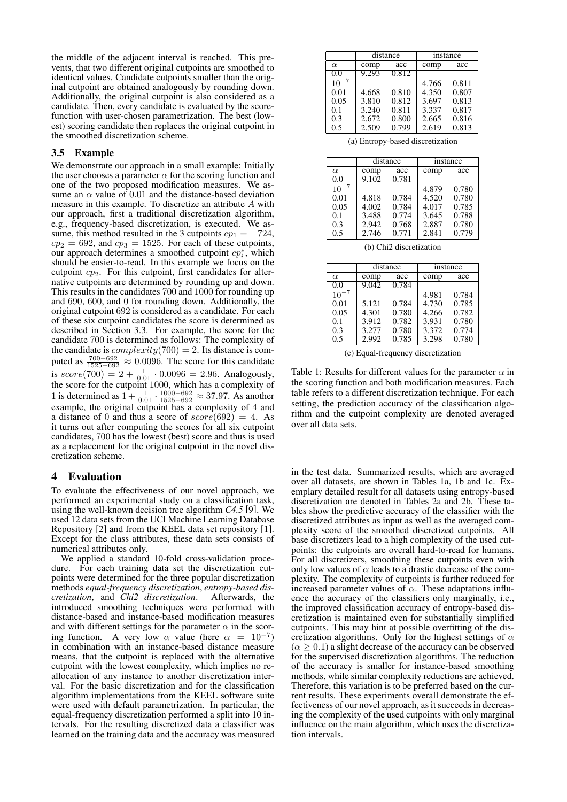the middle of the adjacent interval is reached. This prevents, that two different original cutpoints are smoothed to identical values. Candidate cutpoints smaller than the original cutpoint are obtained analogously by rounding down. Additionally, the original cutpoint is also considered as a candidate. Then, every candidate is evaluated by the scorefunction with user-chosen parametrization. The best (lowest) scoring candidate then replaces the original cutpoint in the smoothed discretization scheme.

## 3.5 Example

We demonstrate our approach in a small example: Initially the user chooses a parameter  $\alpha$  for the scoring function and one of the two proposed modification measures. We assume an  $\alpha$  value of 0.01 and the distance-based deviation measure in this example. To discretize an attribute A with our approach, first a traditional discretization algorithm, e.g., frequency-based discretization, is executed. We assume, this method resulted in the 3 cutpoints  $cp_1 = -724$ ,  $cp<sub>2</sub> = 692$ , and  $cp<sub>3</sub> = 1525$ . For each of these cutpoints, our approach determines a smoothed cutpoint  $cp_i^*$ , which should be easier-to-read. In this example we focus on the cutpoint  $cp<sub>2</sub>$ . For this cutpoint, first candidates for alternative cutpoints are determined by rounding up and down. This results in the candidates 700 and 1000 for rounding up and 690, 600, and 0 for rounding down. Additionally, the original cutpoint 692 is considered as a candidate. For each of these six cutpoint candidates the score is determined as described in Section 3.3. For example, the score for the candidate 700 is determined as follows: The complexity of the candidate is  $complexity(700) = 2$ . Its distance is computed as  $\frac{700 - 692}{1525 - 692} \approx 0.0096$ . The score for this candidate is  $score(700) = 2 + \frac{1}{0.01} \cdot 0.0096 = 2.96$ . Analogously, the score for the cutpoint 1000, which has a complexity of 1 is determined as  $1 + \frac{1}{0.01} \cdot \frac{1000 - 692}{1525 - 692} \approx 37.97$ . As another example, the original cutpoint has a complexity of 4 and a distance of 0 and thus a score of  $score(692) = 4$ . As it turns out after computing the scores for all six cutpoint candidates, 700 has the lowest (best) score and thus is used as a replacement for the original cutpoint in the novel discretization scheme.

# 4 Evaluation

To evaluate the effectiveness of our novel approach, we performed an experimental study on a classification task, using the well-known decision tree algorithm *C4.5* [9]. We used 12 data sets from the UCI Machine Learning Database Repository [2] and from the KEEL data set repository [1]. Except for the class attributes, these data sets consists of numerical attributes only.

We applied a standard 10-fold cross-validation procedure. For each training data set the discretization cutpoints were determined for the three popular discretization methods *equal-frequency discretization*, *entropy-based discretization*, and *Chi2 discretization*. Afterwards, the introduced smoothing techniques were performed with distance-based and instance-based modification measures and with different settings for the parameter  $\alpha$  in the scoring function. A very low  $\alpha$  value (here  $\alpha = 10^{-7}$ ) in combination with an instance-based distance measure means, that the cutpoint is replaced with the alternative cutpoint with the lowest complexity, which implies no reallocation of any instance to another discretization interval. For the basic discretization and for the classification algorithm implementations from the KEEL software suite were used with default parametrization. In particular, the equal-frequency discretization performed a split into 10 intervals. For the resulting discretized data a classifier was learned on the training data and the accuracy was measured

|           | distance |       | instance |       |  |  |
|-----------|----------|-------|----------|-------|--|--|
| $\alpha$  | comp     | acc   | comp     | acc   |  |  |
| 0.0       | 9.293    | 0.812 |          |       |  |  |
| $10^{-7}$ |          |       | 4.766    | 0.811 |  |  |
| 0.01      | 4.668    | 0.810 | 4.350    | 0.807 |  |  |
| 0.05      | 3.810    | 0.812 | 3.697    | 0.813 |  |  |
| 0.1       | 3.240    | 0.811 | 3.337    | 0.817 |  |  |
| 0.3       | 2.672    | 0.800 | 2.665    | 0.816 |  |  |
| 0.5       | 2.509    | 0.799 | 2.619    | 0.813 |  |  |

(a) Entropy-based discretization

|           |       | distance |       | instance |
|-----------|-------|----------|-------|----------|
| $\alpha$  | comp  | acc      | comp  | acc      |
| 0.0       | 9.102 | 0.781    |       |          |
| $10^{-7}$ |       |          | 4.879 | 0.780    |
| 0.01      | 4.818 | 0.784    | 4.520 | 0.780    |
| 0.05      | 4.002 | 0.784    | 4.017 | 0.785    |
| 0.1       | 3.488 | 0.774    | 3.645 | 0.788    |
| 0.3       | 2.942 | 0.768    | 2.887 | 0.780    |
| 0.5       | 2.746 | 0.771    | 2.841 | 0.779    |

(b) Chi2 discretization

|           | distance |       |       | instance |
|-----------|----------|-------|-------|----------|
| $\alpha$  | comp     | acc   | comp  | acc      |
| 0.0       | 9.042    | 0.784 |       |          |
| $10^{-7}$ |          |       | 4.981 | 0.784    |
| 0.01      | 5.121    | 0.784 | 4.730 | 0.785    |
| 0.05      | 4.301    | 0.780 | 4.266 | 0.782    |
| 0.1       | 3.912    | 0.782 | 3.931 | 0.780    |
| 0.3       | 3.277    | 0.780 | 3.372 | 0.774    |
| 0.5       | 2.992    | 0.785 | 3.298 | 0.780    |

(c) Equal-frequency discretization

Table 1: Results for different values for the parameter  $\alpha$  in the scoring function and both modification measures. Each table refers to a different discretization technique. For each setting, the prediction accuracy of the classification algorithm and the cutpoint complexity are denoted averaged over all data sets.

in the test data. Summarized results, which are averaged over all datasets, are shown in Tables 1a, 1b and 1c. Exemplary detailed result for all datasets using entropy-based discretization are denoted in Tables 2a and 2b. These tables show the predictive accuracy of the classifier with the discretized attributes as input as well as the averaged complexity score of the smoothed discretized cutpoints. All base discretizers lead to a high complexity of the used cutpoints: the cutpoints are overall hard-to-read for humans. For all discretizers, smoothing these cutpoints even with only low values of  $\alpha$  leads to a drastic decrease of the complexity. The complexity of cutpoints is further reduced for increased parameter values of  $\alpha$ . These adaptations influence the accuracy of the classifiers only marginally, i.e., the improved classification accuracy of entropy-based discretization is maintained even for substantially simplified cutpoints. This may hint at possible overfitting of the discretization algorithms. Only for the highest settings of  $\alpha$  $(\alpha \geq 0.1)$  a slight decrease of the accuracy can be observed for the supervised discretization algorithms. The reduction of the accuracy is smaller for instance-based smoothing methods, while similar complexity reductions are achieved. Therefore, this variation is to be preferred based on the current results. These experiments overall demonstrate the effectiveness of our novel approach, as it succeeds in decreasing the complexity of the used cutpoints with only marginal influence on the main algorithm, which uses the discretization intervals.